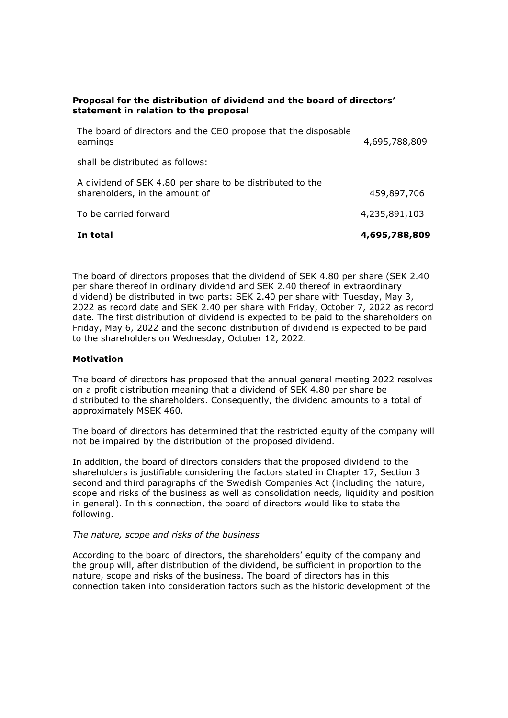# Proposal for the distribution of dividend and the board of directors' statement in relation to the proposal

| In total                                                                                                                                                 | 4,695,788,809                |                                                                            |               |
|----------------------------------------------------------------------------------------------------------------------------------------------------------|------------------------------|----------------------------------------------------------------------------|---------------|
| shall be distributed as follows:<br>A dividend of SEK 4.80 per share to be distributed to the<br>shareholders, in the amount of<br>To be carried forward | 459,897,706<br>4,235,891,103 |                                                                            |               |
|                                                                                                                                                          |                              | The board of directors and the CEO propose that the disposable<br>earnings | 4,695,788,809 |

The board of directors proposes that the dividend of SEK 4.80 per share (SEK 2.40 per share thereof in ordinary dividend and SEK 2.40 thereof in extraordinary dividend) be distributed in two parts: SEK 2.40 per share with Tuesday, May 3, 2022 as record date and SEK 2.40 per share with Friday, October 7, 2022 as record date. The first distribution of dividend is expected to be paid to the shareholders on Friday, May 6, 2022 and the second distribution of dividend is expected to be paid to the shareholders on Wednesday, October 12, 2022.

# **Motivation**

The board of directors has proposed that the annual general meeting 2022 resolves on a profit distribution meaning that a dividend of SEK 4.80 per share be distributed to the shareholders. Consequently, the dividend amounts to a total of approximately MSEK 460.

The board of directors has determined that the restricted equity of the company will not be impaired by the distribution of the proposed dividend.

In addition, the board of directors considers that the proposed dividend to the shareholders is justifiable considering the factors stated in Chapter 17, Section 3 second and third paragraphs of the Swedish Companies Act (including the nature, scope and risks of the business as well as consolidation needs, liquidity and position in general). In this connection, the board of directors would like to state the following.

## The nature, scope and risks of the business

According to the board of directors, the shareholders' equity of the company and the group will, after distribution of the dividend, be sufficient in proportion to the nature, scope and risks of the business. The board of directors has in this connection taken into consideration factors such as the historic development of the